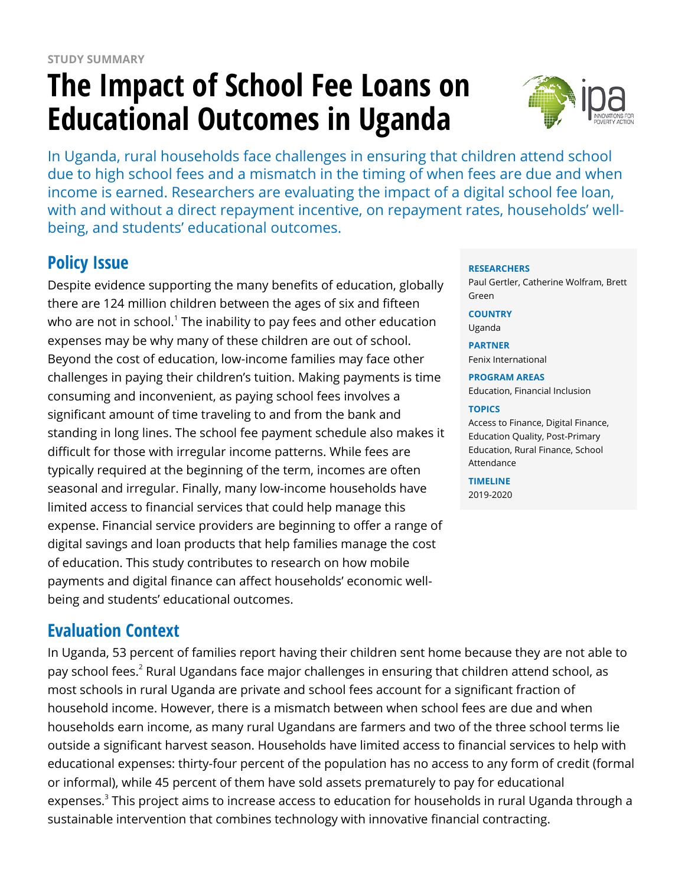# **The Impact of School Fee Loans on Educational Outcomes in Uganda**



In Uganda, rural households face challenges in ensuring that children attend school due to high school fees and a mismatch in the timing of when fees are due and when income is earned. Researchers are evaluating the impact of a digital school fee loan, with and without a direct repayment incentive, on repayment rates, households' wellbeing, and students' educational outcomes.

# **Policy Issue**

Despite evidence supporting the many benefits of education, globally there are 124 million children between the ages of six and fifteen who are not in school. $^{\rm 1}$  The inability to pay fees and other education expenses may be why many of these children are out of school. Beyond the cost of education, low-income families may face other challenges in paying their children's tuition. Making payments is time consuming and inconvenient, as paying school fees involves a significant amount of time traveling to and from the bank and standing in long lines. The school fee payment schedule also makes it difficult for those with irregular income patterns. While fees are typically required at the beginning of the term, incomes are often seasonal and irregular. Finally, many low-income households have limited access to financial services that could help manage this expense. Financial service providers are beginning to offer a range of digital savings and loan products that help families manage the cost of education. This study contributes to research on how mobile payments and digital finance can affect households' economic wellbeing and students' educational outcomes.

## **Evaluation Context**

In Uganda, 53 percent of families report having their children sent home because they are not able to pay school fees. $^{\text{2}}$  Rural Ugandans face major challenges in ensuring that children attend school, as most schools in rural Uganda are private and school fees account for a significant fraction of household income. However, there is a mismatch between when school fees are due and when households earn income, as many rural Ugandans are farmers and two of the three school terms lie outside a significant harvest season. Households have limited access to financial services to help with educational expenses: thirty-four percent of the population has no access to any form of credit (formal or informal), while 45 percent of them have sold assets prematurely to pay for educational expenses.<sup>3</sup> This project aims to increase access to education for households in rural Uganda through a sustainable intervention that combines technology with innovative financial contracting.

#### **RESEARCHERS**

Paul Gertler, Catherine Wolfram, Brett Green

**COUNTRY** Uganda

**PARTNER** Fenix International

**PROGRAM AREAS** Education, Financial Inclusion

#### **TOPICS**

Access to Finance, Digital Finance, Education Quality, Post-Primary Education, Rural Finance, School Attendance

**TIMELINE** 2019-2020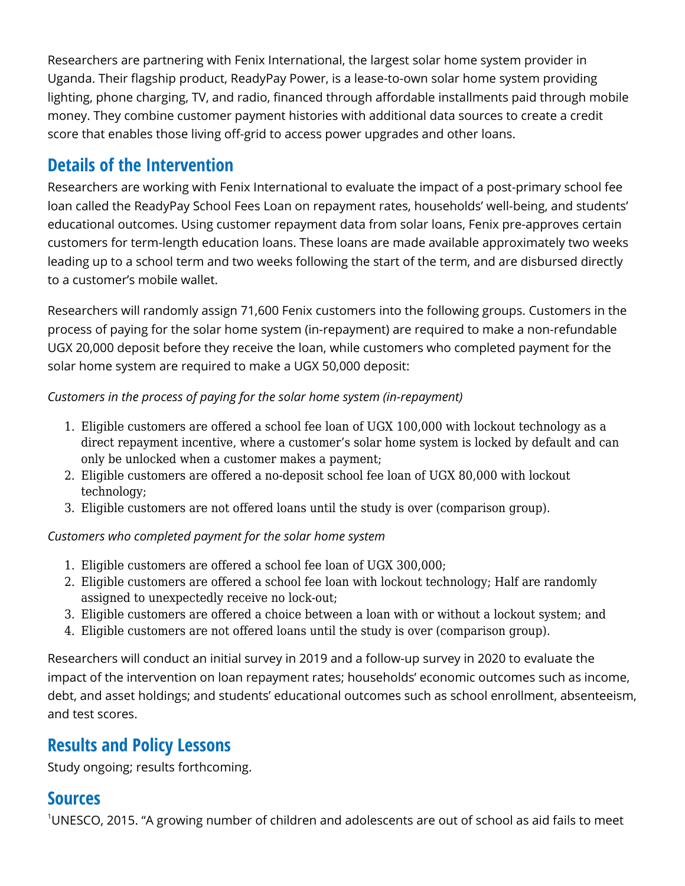Researchers are partnering with Fenix International, the largest solar home system provider in Uganda. Their flagship product, ReadyPay Power, is a lease-to-own solar home system providing lighting, phone charging, TV, and radio, financed through affordable installments paid through mobile money. They combine customer payment histories with additional data sources to create a credit score that enables those living off-grid to access power upgrades and other loans.

### **Details of the Intervention**

Researchers are working with Fenix International to evaluate the impact of a post-primary school fee loan called the ReadyPay School Fees Loan on repayment rates, households' well-being, and students' educational outcomes. Using customer repayment data from solar loans, Fenix pre-approves certain customers for term-length education loans. These loans are made available approximately two weeks leading up to a school term and two weeks following the start of the term, and are disbursed directly to a customer's mobile wallet.

Researchers will randomly assign 71,600 Fenix customers into the following groups. Customers in the process of paying for the solar home system (in-repayment) are required to make a non-refundable UGX 20,000 deposit before they receive the loan, while customers who completed payment for the solar home system are required to make a UGX 50,000 deposit:

#### *Customers in the process of paying for the solar home system (in-repayment)*

- 1. Eligible customers are offered a school fee loan of UGX 100,000 with lockout technology as a direct repayment incentive, where a customer's solar home system is locked by default and can only be unlocked when a customer makes a payment;
- 2. Eligible customers are offered a no-deposit school fee loan of UGX 80,000 with lockout technology;
- 3. Eligible customers are not offered loans until the study is over (comparison group).

#### *Customers who completed payment for the solar home system*

- 1. Eligible customers are offered a school fee loan of UGX 300,000;
- 2. Eligible customers are offered a school fee loan with lockout technology; Half are randomly assigned to unexpectedly receive no lock-out;
- 3. Eligible customers are offered a choice between a loan with or without a lockout system; and
- 4. Eligible customers are not offered loans until the study is over (comparison group).

Researchers will conduct an initial survey in 2019 and a follow-up survey in 2020 to evaluate the impact of the intervention on loan repayment rates; households' economic outcomes such as income, debt, and asset holdings; and students' educational outcomes such as school enrollment, absenteeism, and test scores.

## **Results and Policy Lessons**

Study ongoing; results forthcoming.

#### **Sources**

<sup>1</sup>UNESCO, 2015. "A growing number of children and adolescents are out of school as aid fails to meet